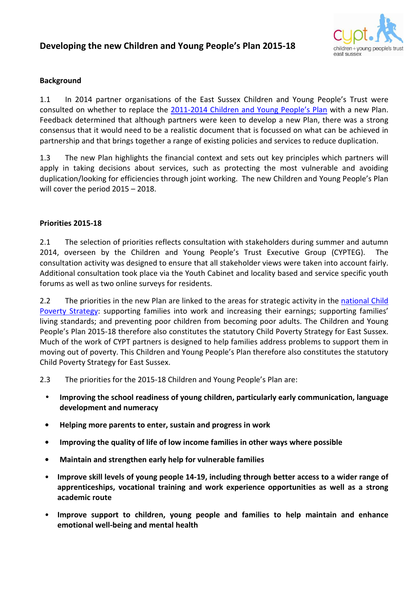## **Developing the new Children and Young People's Plan 2015-18**



## **Background**

1.1 In 2014 partner organisations of the East Sussex Children and Young People's Trust were consulted on whether to replace the 2011-2014 Children and Young People's Plan with a new Plan. Feedback determined that although partners were keen to develop a new Plan, there was a strong consensus that it would need to be a realistic document that is focussed on what can be achieved in partnership and that brings together a range of existing policies and services to reduce duplication.

1.3 The new Plan highlights the financial context and sets out key principles which partners will apply in taking decisions about services, such as protecting the most vulnerable and avoiding duplication/looking for efficiencies through joint working. The new Children and Young People's Plan will cover the period 2015 – 2018.

## **Priorities 2015-18**

2.1 The selection of priorities reflects consultation with stakeholders during summer and autumn 2014, overseen by the Children and Young People's Trust Executive Group (CYPTEG). The consultation activity was designed to ensure that all stakeholder views were taken into account fairly. Additional consultation took place via the Youth Cabinet and locality based and service specific youth forums as well as two online surveys for residents.

2.2 The priorities in the new Plan are linked to the areas for strategic activity in the national Child Poverty Strategy: supporting families into work and increasing their earnings; supporting families' living standards; and preventing poor children from becoming poor adults. The Children and Young People's Plan 2015-18 therefore also constitutes the statutory Child Poverty Strategy for East Sussex. Much of the work of CYPT partners is designed to help families address problems to support them in moving out of poverty. This Children and Young People's Plan therefore also constitutes the statutory Child Poverty Strategy for East Sussex.

- 2.3 The priorities for the 2015-18 Children and Young People's Plan are:
	- **Improving the school readiness of young children, particularly early communication, language development and numeracy**
	- **Helping more parents to enter, sustain and progress in work**
	- **Improving the quality of life of low income families in other ways where possible**
	- **Maintain and strengthen early help for vulnerable families**
	- **Improve skill levels of young people 14-19, including through better access to a wider range of apprenticeships, vocational training and work experience opportunities as well as a strong academic route**
	- **Improve support to children, young people and families to help maintain and enhance emotional well-being and mental health**